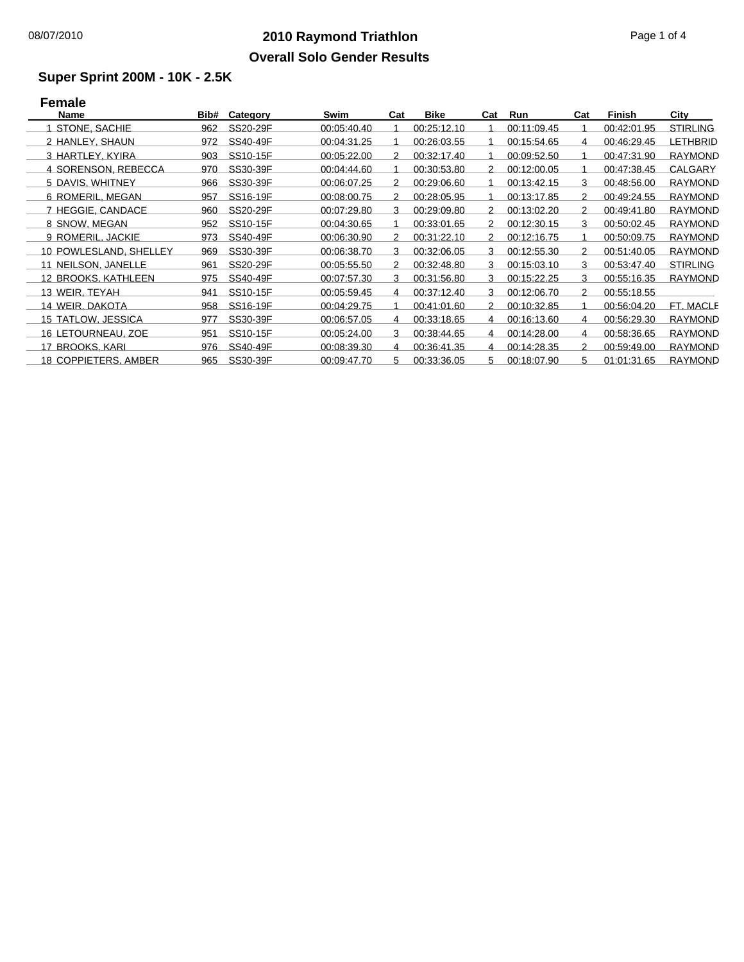## **2010 Raymond Triathlon** 08/07/2010 Page 1 of 4 **Overall Solo Gender Results**

### **Super Sprint 200M - 10K - 2.5K**

# **Female**

| Name                        | Bib# | Category | Swim        | Cat | Bike        | Cat           | Run         | Cat           | Finish      | City            |
|-----------------------------|------|----------|-------------|-----|-------------|---------------|-------------|---------------|-------------|-----------------|
| STONE, SACHIE               | 962  | SS20-29F | 00:05:40.40 |     | 00:25:12.10 |               | 00:11:09.45 |               | 00:42:01.95 | <b>STIRLING</b> |
| 2 HANLEY, SHAUN             | 972  | SS40-49F | 00:04:31.25 |     | 00:26:03.55 |               | 00:15:54.65 | 4             | 00:46:29.45 | LETHBRID        |
| 3 HARTLEY, KYIRA            | 903  | SS10-15F | 00:05:22.00 | 2   | 00:32:17.40 |               | 00:09:52.50 |               | 00.47.31.90 | <b>RAYMOND</b>  |
| 4 SORENSON, REBECCA         | 970  | SS30-39F | 00:04:44.60 |     | 00:30:53.80 | 2             | 00:12:00.05 |               | 00:47:38.45 | CALGARY         |
| 5 DAVIS, WHITNEY            | 966  | SS30-39F | 00:06:07.25 | 2   | 00:29:06.60 |               | 00:13:42.15 | 3             | 00:48:56.00 | <b>RAYMOND</b>  |
| 6 ROMERIL, MEGAN            | 957  | SS16-19F | 00:08:00.75 | 2   | 00:28:05.95 |               | 00:13:17.85 | 2             | 00:49:24.55 | <b>RAYMOND</b>  |
| 7 HEGGIE, CANDACE           | 960  | SS20-29F | 00:07:29.80 | 3   | 00:29:09.80 | 2             | 00:13:02.20 | 2             | 00:49:41.80 | <b>RAYMOND</b>  |
| 8 SNOW, MEGAN               | 952  | SS10-15F | 00:04:30.65 |     | 00:33:01.65 | 2             | 00:12:30.15 | 3             | 00:50:02.45 | <b>RAYMOND</b>  |
| 9 ROMERIL, JACKIE           | 973  | SS40-49F | 00:06:30.90 | 2   | 00:31:22.10 | 2             | 00:12:16.75 |               | 00:50:09.75 | <b>RAYMOND</b>  |
| 10 POWLESLAND, SHELLEY      | 969  | SS30-39F | 00:06:38.70 | 3   | 00:32:06.05 | 3             | 00:12:55.30 | 2             | 00:51:40.05 | <b>RAYMOND</b>  |
| 11 NEILSON, JANELLE         | 961  | SS20-29F | 00:05:55.50 | 2   | 00:32:48.80 | 3             | 00:15:03.10 | 3             | 00:53:47.40 | <b>STIRLING</b> |
| 12 BROOKS, KATHLEEN         | 975  | SS40-49F | 00:07:57.30 | 3   | 00:31:56.80 | 3             | 00:15:22.25 | 3             | 00:55:16.35 | <b>RAYMOND</b>  |
| 13 WEIR, TEYAH              | 941  | SS10-15F | 00:05:59.45 | 4   | 00:37:12.40 | 3             | 00:12:06.70 | $\mathcal{P}$ | 00:55:18.55 |                 |
| 14 WEIR, DAKOTA             | 958  | SS16-19F | 00:04:29.75 |     | 00:41:01.60 | $\mathcal{P}$ | 00:10:32.85 |               | 00:56:04.20 | FT. MACLE       |
| 15 TATLOW, JESSICA          | 977  | SS30-39F | 00:06:57.05 | 4   | 00:33:18.65 | 4             | 00:16:13.60 | 4             | 00:56:29.30 | <b>RAYMOND</b>  |
| 16 LETOURNEAU, ZOE          | 951  | SS10-15F | 00:05:24.00 | 3   | 00:38:44.65 | 4             | 00:14:28.00 | 4             | 00:58:36.65 | <b>RAYMOND</b>  |
| 17 BROOKS, KARI             | 976  | SS40-49F | 00:08:39.30 | 4   | 00:36:41.35 | 4             | 00:14:28.35 | $\mathcal{P}$ | 00:59:49.00 | <b>RAYMOND</b>  |
| <b>18 COPPIETERS, AMBER</b> | 965  | SS30-39F | 00:09:47.70 | 5   | 00:33:36.05 | 5.            | 00:18:07.90 | 5.            | 01:01:31.65 | <b>RAYMOND</b>  |